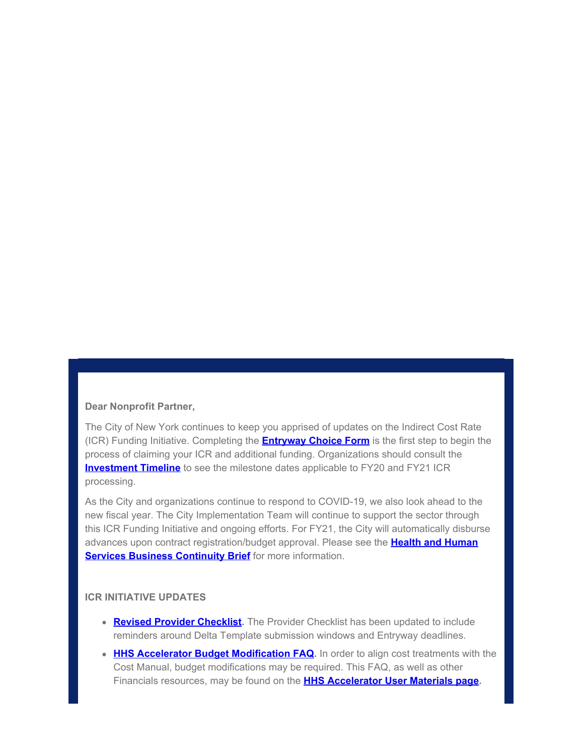#### **Dear Nonprofit Partner,**

The City of New York continues to keep you apprised of updates on the Indirect Cost Rate (ICR) Funding Initiative. Completing the **[Entryway Choice Form](https://gcc01.safelinks.protection.outlook.com/?url=https%3A%2F%2Fwww1.nyc.gov%2Fsite%2Fnonprofits%2Ffunded-providers%2Findirect-entryway-choice-form.page%3Futm_medium%3Demail%26utm_source%3Dgovdelivery&data=02%7C01%7Coluwa.small%40mocs.nyc.gov%7C2ddf7f37eab5480decf808d80ca09de3%7C32f56fc75f814e22a95b15da66513bef%7C0%7C0%7C637273233115470950&sdata=Lwpn8vDEKr6%2FHqQ%2F%2Fym8uluZEeNbQ9a8z%2Beu%2B2Q5U5w%3D&reserved=0)** is the first step to begin the process of claiming your ICR and additional funding. Organizations should consult the **[Investment Timeline](https://gcc01.safelinks.protection.outlook.com/?url=https%3A%2F%2Fwww1.nyc.gov%2Fassets%2Fnonprofits%2Fdownloads%2Fpdf%2FInvestment%2520Timeline.pdf%3Futm_medium%3Demail%26utm_source%3Dgovdelivery&data=02%7C01%7Coluwa.small%40mocs.nyc.gov%7C2ddf7f37eab5480decf808d80ca09de3%7C32f56fc75f814e22a95b15da66513bef%7C0%7C0%7C637273233115480946&sdata=Vba%2ByC7%2FkAzIAiOvhMdsFrcpZVbqiILcsy9km0VyUUM%3D&reserved=0)** to see the milestone dates applicable to FY20 and FY21 ICR processing.

As the City and organizations continue to respond to COVID-19, we also look ahead to the new fiscal year. The City Implementation Team will continue to support the sector through this ICR Funding Initiative and ongoing efforts. For FY21, the City will automatically disburse advances upon contract registration/budget approval. Please see the **[Health and Human](https://gcc01.safelinks.protection.outlook.com/?url=https%3A%2F%2Fcontent.govdelivery.com%2Fattachments%2FNYCMOCS%2F2020%2F06%2F02%2Ffile_attachments%2F1464420%2FHumanService_BusinessContinuity.pdf&data=02%7C01%7Coluwa.small%40mocs.nyc.gov%7C2ddf7f37eab5480decf808d80ca09de3%7C32f56fc75f814e22a95b15da66513bef%7C0%7C0%7C637273233115480946&sdata=QBy1s2Q%2BUTJQ7w6Cfg3hVFSp6rsvwUrnnmBW%2Fgdtdus%3D&reserved=0) [Services Business Continuity Brief](https://gcc01.safelinks.protection.outlook.com/?url=https%3A%2F%2Fcontent.govdelivery.com%2Fattachments%2FNYCMOCS%2F2020%2F06%2F02%2Ffile_attachments%2F1464420%2FHumanService_BusinessContinuity.pdf&data=02%7C01%7Coluwa.small%40mocs.nyc.gov%7C2ddf7f37eab5480decf808d80ca09de3%7C32f56fc75f814e22a95b15da66513bef%7C0%7C0%7C637273233115480946&sdata=QBy1s2Q%2BUTJQ7w6Cfg3hVFSp6rsvwUrnnmBW%2Fgdtdus%3D&reserved=0)** for more information.

#### **ICR INITIATIVE UPDATES**

- **[Revised Provider Checklist](https://gcc01.safelinks.protection.outlook.com/?url=https%3A%2F%2Fwww1.nyc.gov%2Fassets%2Fnonprofits%2Fdownloads%2Fpdf%2FProvider%2520Checklist%2520Indirect%2520Implementation.pdf%3Futm_medium%3Demail%26utm_source%3Dgovdelivery&data=02%7C01%7Coluwa.small%40mocs.nyc.gov%7C2ddf7f37eab5480decf808d80ca09de3%7C32f56fc75f814e22a95b15da66513bef%7C0%7C0%7C637273233115490933&sdata=SB8%2F7mC5wd0P1mc8BtLyZMcTX%2FW4Rewu1vXpRhNgqsI%3D&reserved=0).** The Provider Checklist has been updated to include reminders around Delta Template submission windows and Entryway deadlines.
- **[HHS Accelerator Budget Modification FAQ](https://gcc01.safelinks.protection.outlook.com/?url=https%3A%2F%2Fwww1.nyc.gov%2Fassets%2Fnonprofits%2Fdownloads%2Fpdf%2FHHS%2520Accelerator%2520Budget%2520Modification%2520FAQs.pdf%3Futm_medium%3Demail%26utm_source%3Dgovdelivery&data=02%7C01%7Coluwa.small%40mocs.nyc.gov%7C2ddf7f37eab5480decf808d80ca09de3%7C32f56fc75f814e22a95b15da66513bef%7C0%7C0%7C637273233115490933&sdata=d2kGv%2FMw3CHgHEDiWs6caBacSmhl0V%2FC1jo9dtQQEoQ%3D&reserved=0)**. In order to align cost treatments with the Cost Manual, budget modifications may be required. This FAQ, as well as other Financials resources, may be found on the **[HHS Accelerator User Materials page](https://gcc01.safelinks.protection.outlook.com/?url=https%3A%2F%2Fwww1.nyc.gov%2Fsite%2Fmocs%2Fsystems%2Fhhs-accelerator-user-materials.page%3Futm_medium%3Demail%26utm_source%3Dgovdelivery&data=02%7C01%7Coluwa.small%40mocs.nyc.gov%7C2ddf7f37eab5480decf808d80ca09de3%7C32f56fc75f814e22a95b15da66513bef%7C0%7C0%7C637273233115500924&sdata=Rz4Y8TtHBi%2FAbCUUjPB6hCYV%2BbPYuSGgIxctUBfykYE%3D&reserved=0).**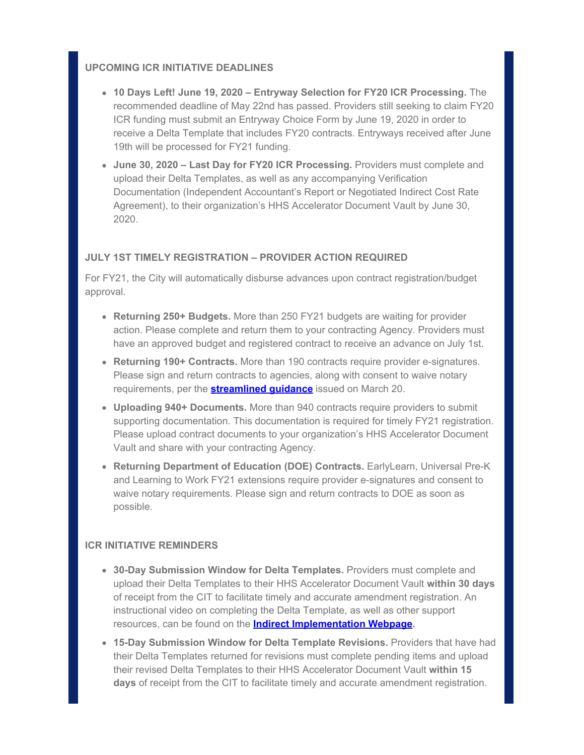## **UPCOMING ICR INITIATIVE DEADLINES**

- **10 Days Left! June 19, 2020 Entryway Selection for FY20 ICR Processing.** The recommended deadline of May 22nd has passed. Providers still seeking to claim FY20 ICR funding must submit an Entryway Choice Form by June 19, 2020 in order to receive a Delta Template that includes FY20 contracts. Entryways received after June 19th will be processed for FY21 funding.
- **June 30, 2020 Last Day for FY20 ICR Processing.** Providers must complete and upload their Delta Templates, as well as any accompanying Verification Documentation (Independent Accountant's Report or Negotiated Indirect Cost Rate Agreement), to their organization's HHS Accelerator Document Vault by June 30, 2020.

## **JULY 1ST TIMELY REGISTRATION – PROVIDER ACTION REQUIRED**

For FY21, the City will automatically disburse advances upon contract registration/budget approval.

- **Returning 250+ Budgets.** More than 250 FY21 budgets are waiting for provider action. Please complete and return them to your contracting Agency. Providers must have an approved budget and registered contract to receive an advance on July 1st.
- **Returning 190+ Contracts.** More than 190 contracts require provider e-signatures. Please sign and return contracts to agencies, along with consent to waive notary requirements, per the **[streamlined guidance](https://gcc01.safelinks.protection.outlook.com/?url=https%3A%2F%2Fwww1.nyc.gov%2Fassets%2Fdoh%2Fdownloads%2Fpdf%2Fimm%2Fcovid-letter-to-human-service-providers.pdf%3Futm_medium%3Demail%26utm_source%3Dgovdelivery&data=02%7C01%7Coluwa.small%40mocs.nyc.gov%7C2ddf7f37eab5480decf808d80ca09de3%7C32f56fc75f814e22a95b15da66513bef%7C0%7C0%7C637273233115500924&sdata=mtfsjhuJo1zEnF69h7Q4Lb9mzVC4OkyqocCbXkqLiQY%3D&reserved=0)** issued on March 20.
- **Uploading 940+ Documents.** More than 940 contracts require providers to submit supporting documentation. This documentation is required for timely FY21 registration. Please upload contract documents to your organization's HHS Accelerator Document Vault and share with your contracting Agency.
- **Returning Department of Education (DOE) Contracts.** EarlyLearn, Universal Pre-K and Learning to Work FY21 extensions require provider e-signatures and consent to waive notary requirements. Please sign and return contracts to DOE as soon as possible.

## **ICR INITIATIVE REMINDERS**

- **30-Day Submission Window for Delta Templates.** Providers must complete and upload their Delta Templates to their HHS Accelerator Document Vault **within 30 days** of receipt from the CIT to facilitate timely and accurate amendment registration. An instructional video on completing the Delta Template, as well as other support resources, can be found on the **[Indirect Implementation Webpage](https://gcc01.safelinks.protection.outlook.com/?url=https%3A%2F%2Fwww1.nyc.gov%2Fsite%2Fnonprofits%2Ffunded-providers%2Findirect-implementation.page%3Futm_medium%3Demail%26utm_source%3Dgovdelivery&data=02%7C01%7Coluwa.small%40mocs.nyc.gov%7C2ddf7f37eab5480decf808d80ca09de3%7C32f56fc75f814e22a95b15da66513bef%7C0%7C0%7C637273233115500924&sdata=eM6PMXP5d5nlIaRpu3sSCNHZ5YMjs%2BTefy%2FTS2JGmzk%3D&reserved=0).**
- **15-Day Submission Window for Delta Template Revisions.** Providers that have had their Delta Templates returned for revisions must complete pending items and upload their revised Delta Templates to their HHS Accelerator Document Vault **within 15 days** of receipt from the CIT to facilitate timely and accurate amendment registration.